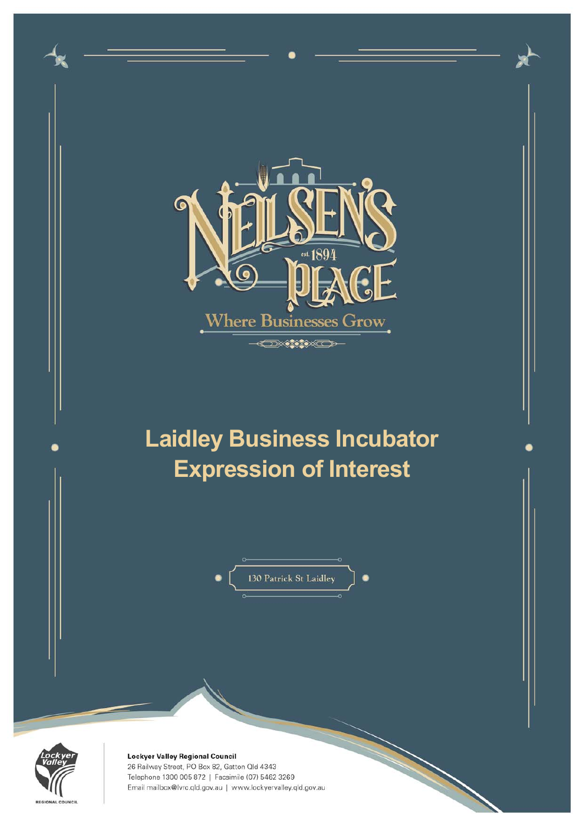



Lockyer Valley Regional Council 26 Railway Street, PO Box 82, Gatton Qld 4343 Telephone 1300 005 872 | Facsimile (07) 5462 3269 Email mailbox@lvrc.qld.gov.au | www.lockyervalley.qld.gov.au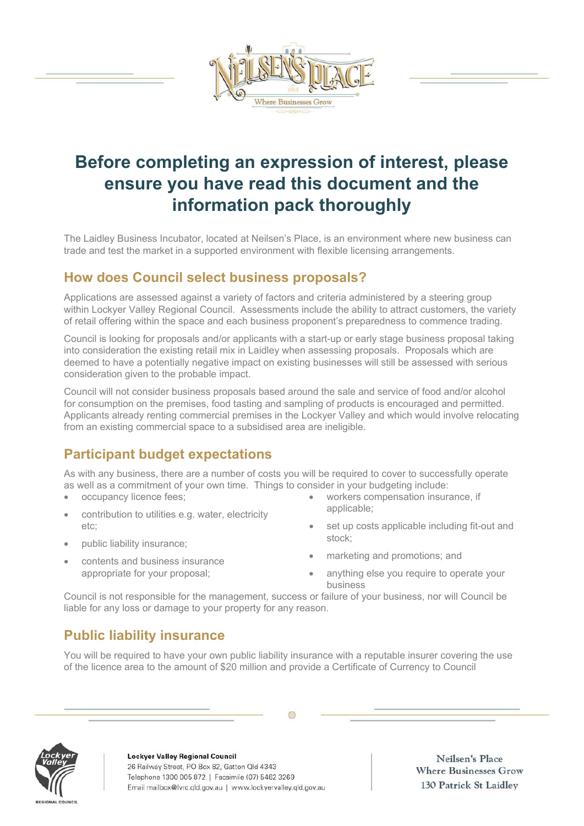

# **Before completing an expression of interest, please ensure you have read this document and the information pack thoroughly**

The Laidley Business Incubator, located at Neilsen's Place, is an environment where new business can trade and test the market in a supported environment with flexible licensing arrangements.

#### **How does Council select business proposals?**

Applications are assessed against a variety of factors and criteria administered by a steering group within Lockyer Valley Regional Council. Assessments include the ability to attract customers, the variety of retail offering within the space and each business proponent's preparedness to commence trading.

Council is looking for proposals and/or applicants with a start-up or early stage business proposal taking into consideration the existing retail mix in Laidley when assessing proposals. Proposals which are deemed to have a potentially negative impact on existing businesses will still be assessed with serious consideration given to the probable impact.

Council will not consider business proposals based around the sale and service of food and/or alcohol for consumption on the premises, food tasting and sampling of products is encouraged and permitted. Applicants already renting commercial premises in the Lockyer Valley and which would involve relocating from an existing commercial space to a subsidised area are ineligible.

## **Participant budget expectations**

As with any business, there are a number of costs you will be required to cover to successfully operate as well as a commitment of your own time. Things to consider in your budgeting include:

- occupancy licence fees;
- contribution to utilities e.g. water, electricity etc;
- public liability insurance;
- contents and business insurance appropriate for your proposal;
- workers compensation insurance, if applicable;
- set up costs applicable including fit-out and stock;
- marketing and promotions; and
- anything else you require to operate your business

Council is not responsible for the management, success or failure of your business, nor will Council be liable for any loss or damage to your property for any reason.

## **Public liability insurance**

You will be required to have your own public liability insurance with a reputable insurer covering the use of the licence area to the amount of \$20 million and provide a Certificate of Currency to Council

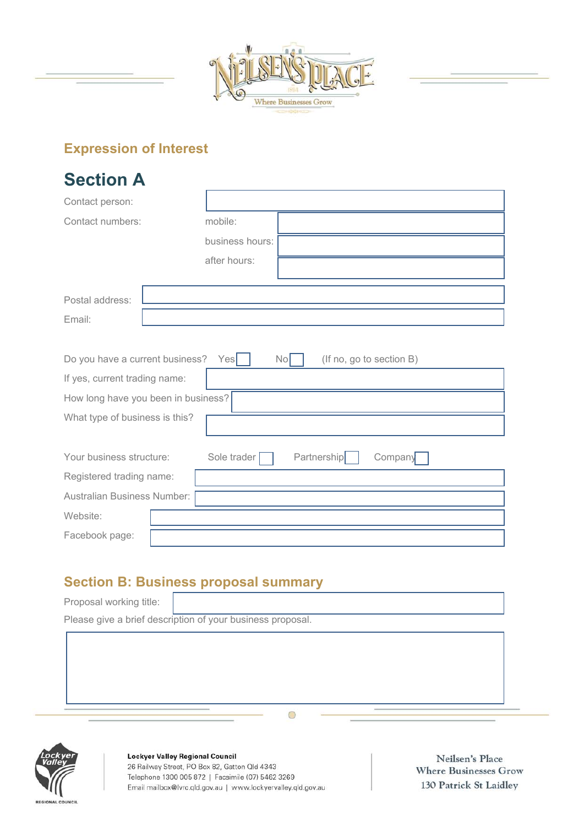

# **Expression of Interest**

| <b>Section A</b>                                                         |                                              |  |  |  |
|--------------------------------------------------------------------------|----------------------------------------------|--|--|--|
| Contact person:                                                          |                                              |  |  |  |
| Contact numbers:                                                         | mobile:                                      |  |  |  |
|                                                                          | business hours:                              |  |  |  |
|                                                                          | after hours:                                 |  |  |  |
|                                                                          |                                              |  |  |  |
| Postal address:                                                          |                                              |  |  |  |
| Email:                                                                   |                                              |  |  |  |
|                                                                          |                                              |  |  |  |
| Do you have a current business?<br>Yes<br>No<br>(If no, go to section B) |                                              |  |  |  |
| If yes, current trading name:                                            |                                              |  |  |  |
| How long have you been in business?                                      |                                              |  |  |  |
| What type of business is this?                                           |                                              |  |  |  |
|                                                                          |                                              |  |  |  |
| Your business structure:                                                 | <b>Partnership</b><br>Sole trader<br>Company |  |  |  |
| Registered trading name:                                                 |                                              |  |  |  |
| Australian Business Number:                                              |                                              |  |  |  |
| Website:                                                                 |                                              |  |  |  |
| Facebook page:                                                           |                                              |  |  |  |

## **Section B: Business proposal summary**

Proposal working title: Please give a brief description of your business proposal.

 $\circ$ 



Lockyer Valley Regional Council 26 Railway Street, PO Box 82, Gatton Qld 4343 Telephone 1300 005 872 | Facsimile (07) 5462 3269 Email mailbox@lvrc.qld.gov.au | www.lockyervalley.qld.gov.au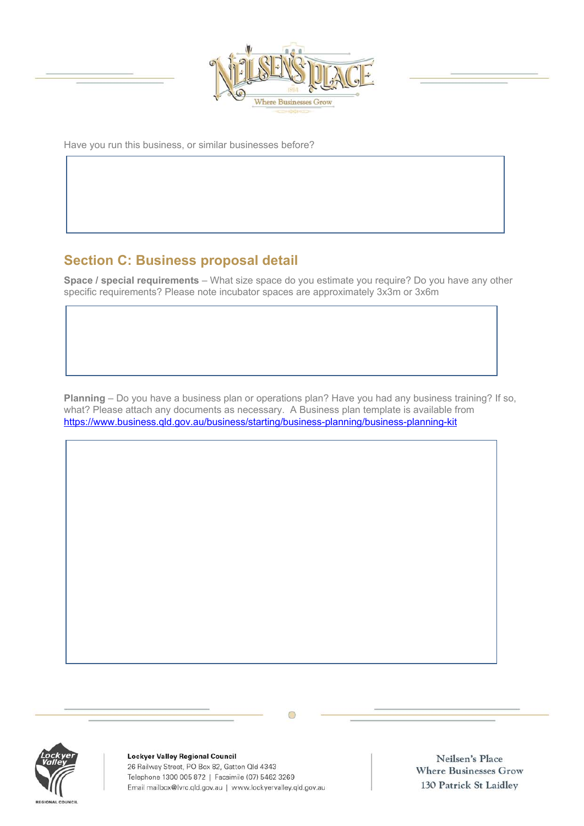

Have you run this business, or similar businesses before?

## **Section C: Business proposal detail**

**Space / special requirements** – What size space do you estimate you require? Do you have any other specific requirements? Please note incubator spaces are approximately 3x3m or 3x6m

**Planning** – Do you have a business plan or operations plan? Have you had any business training? If so, what? Please attach any documents as necessary. A Business plan template is available from https://www.business.qld.gov.au/business/starting/business-planning/business-planning-kit





**Lockyer Valley Regional Council** 26 Railway Street, PO Box 82, Gatton Qld 4343 Telephone 1300 005 872 | Facsimile (07) 5462 3269 Email mailbox@lvrc.qld.gov.au | www.lockyervalley.qld.gov.au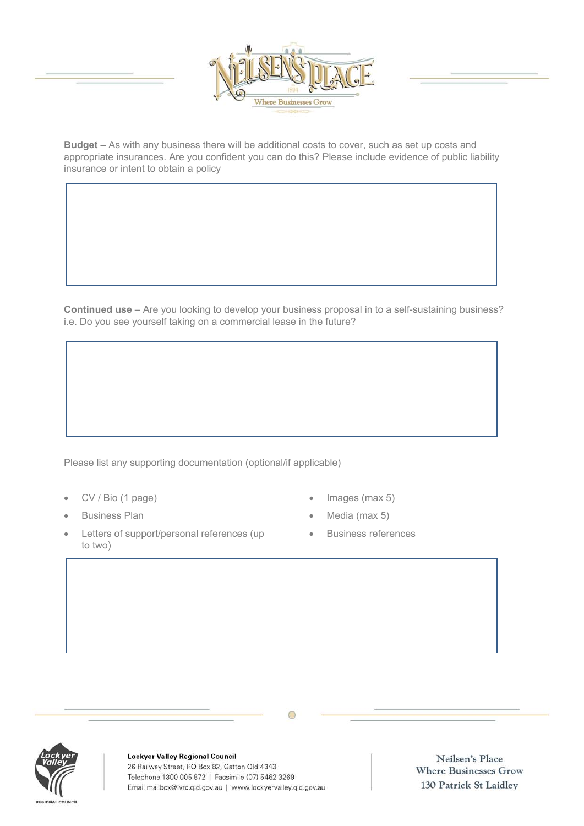

**Budget** – As with any business there will be additional costs to cover, such as set up costs and appropriate insurances. Are you confident you can do this? Please include evidence of public liability insurance or intent to obtain a policy

**Continued use** – Are you looking to develop your business proposal in to a self-sustaining business? i.e. Do you see yourself taking on a commercial lease in the future?

Please list any supporting documentation (optional/if applicable)

- CV / Bio (1 page)
- Business Plan
- Letters of support/personal references (up to two)
- Images (max 5)
- Media (max 5)
- **•** Business references

**Lockyer Valley Regional Council** 26 Railway Street, PO Box 82, Gatton Qld 4343 Telephone 1300 005 872 | Facsimile (07) 5462 3269 Email mailbox@lvrc.qld.gov.au | www.lockyervalley.qld.gov.au